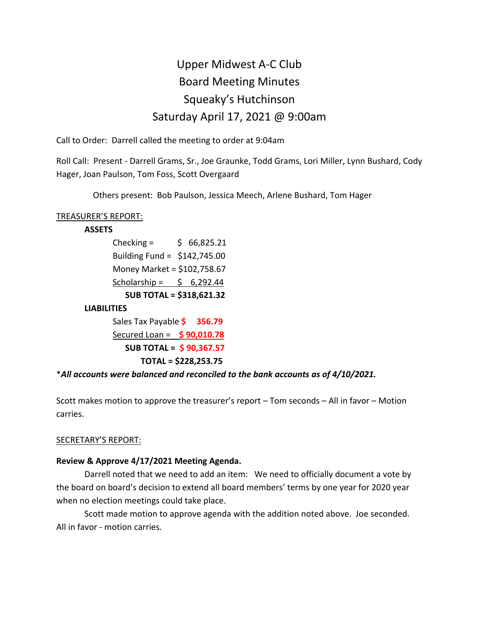# Upper Midwest A-C Club Board Meeting Minutes Squeaky's Hutchinson Saturday April 17, 2021 @ 9:00am

Call to Order: Darrell called the meeting to order at 9:04am

Roll Call: Present - Darrell Grams, Sr., Joe Graunke, Todd Grams, Lori Miller, Lynn Bushard, Cody Hager, Joan Paulson, Tom Foss, Scott Overgaard

Others present: Bob Paulson, Jessica Meech, Arlene Bushard, Tom Hager

## TREASURER'S REPORT:

## **ASSETS**

 $Checking =$  \$ 66,825.21 Building Fund = \$142,745.00 Money Market = \$102,758.67 Scholarship =  $\frac{1}{2}$  6,292.44  **SUB TOTAL = \$318,621.32 LIABILITIES** Sales Tax Payable **\$ 356.79** Secured Loan = **\$ 90,010.78 SUB TOTAL = \$ 90,367.57** 

## **TOTAL = \$228,253.75**

## \**All accounts were balanced and reconciled to the bank accounts as of 4/10/2021.*

Scott makes motion to approve the treasurer's report – Tom seconds – All in favor – Motion carries.

## SECRETARY'S REPORT:

## **Review & Approve 4/17/2021 Meeting Agenda.**

Darrell noted that we need to add an item: We need to officially document a vote by the board on board's decision to extend all board members' terms by one year for 2020 year when no election meetings could take place.

Scott made motion to approve agenda with the addition noted above. Joe seconded. All in favor - motion carries.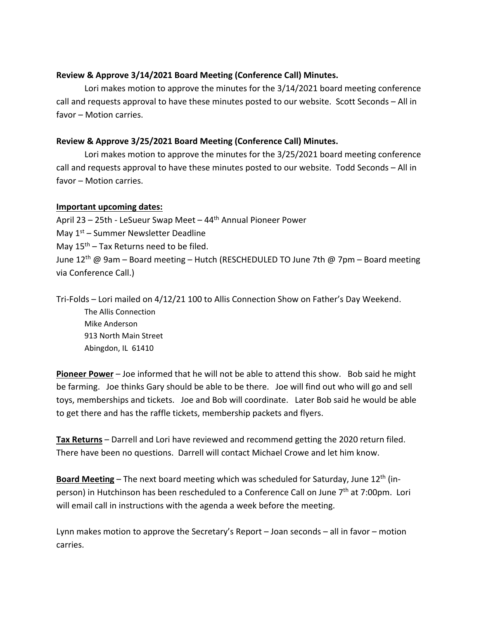## **Review & Approve 3/14/2021 Board Meeting (Conference Call) Minutes.**

Lori makes motion to approve the minutes for the 3/14/2021 board meeting conference call and requests approval to have these minutes posted to our website. Scott Seconds – All in favor – Motion carries.

## **Review & Approve 3/25/2021 Board Meeting (Conference Call) Minutes.**

Lori makes motion to approve the minutes for the 3/25/2021 board meeting conference call and requests approval to have these minutes posted to our website. Todd Seconds – All in favor – Motion carries.

#### **Important upcoming dates:**

April 23 – 25th - LeSueur Swap Meet – 44th Annual Pioneer Power May 1<sup>st</sup> – Summer Newsletter Deadline May  $15<sup>th</sup>$  – Tax Returns need to be filed. June 12<sup>th</sup> @ 9am – Board meeting – Hutch (RESCHEDULED TO June 7th @ 7pm – Board meeting via Conference Call.)

Tri-Folds – Lori mailed on 4/12/21 100 to Allis Connection Show on Father's Day Weekend. The Allis Connection Mike Anderson 913 North Main Street Abingdon, IL 61410

**Pioneer Power** – Joe informed that he will not be able to attend this show. Bob said he might be farming. Joe thinks Gary should be able to be there. Joe will find out who will go and sell toys, memberships and tickets. Joe and Bob will coordinate. Later Bob said he would be able to get there and has the raffle tickets, membership packets and flyers.

**Tax Returns** – Darrell and Lori have reviewed and recommend getting the 2020 return filed. There have been no questions. Darrell will contact Michael Crowe and let him know.

Board Meeting - The next board meeting which was scheduled for Saturday, June 12<sup>th</sup> (inperson) in Hutchinson has been rescheduled to a Conference Call on June  $7<sup>th</sup>$  at 7:00pm. Lori will email call in instructions with the agenda a week before the meeting.

Lynn makes motion to approve the Secretary's Report – Joan seconds – all in favor – motion carries.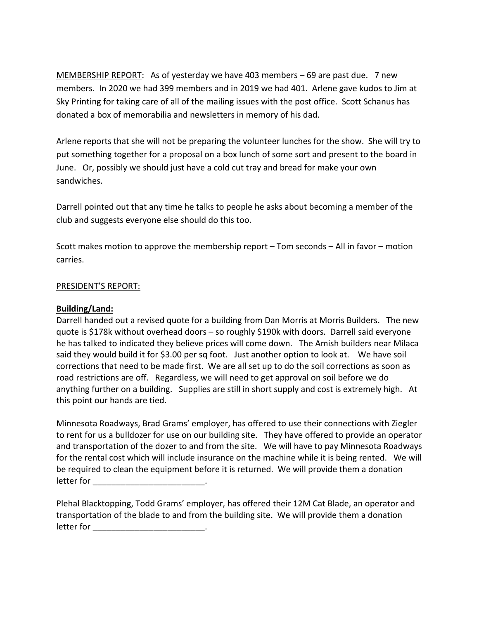MEMBERSHIP REPORT: As of yesterday we have 403 members – 69 are past due. 7 new members. In 2020 we had 399 members and in 2019 we had 401. Arlene gave kudos to Jim at Sky Printing for taking care of all of the mailing issues with the post office. Scott Schanus has donated a box of memorabilia and newsletters in memory of his dad.

Arlene reports that she will not be preparing the volunteer lunches for the show. She will try to put something together for a proposal on a box lunch of some sort and present to the board in June. Or, possibly we should just have a cold cut tray and bread for make your own sandwiches.

Darrell pointed out that any time he talks to people he asks about becoming a member of the club and suggests everyone else should do this too.

Scott makes motion to approve the membership report – Tom seconds – All in favor – motion carries.

#### PRESIDENT'S REPORT:

## **Building/Land:**

Darrell handed out a revised quote for a building from Dan Morris at Morris Builders. The new quote is \$178k without overhead doors – so roughly \$190k with doors. Darrell said everyone he has talked to indicated they believe prices will come down. The Amish builders near Milaca said they would build it for \$3.00 per sq foot. Just another option to look at. We have soil corrections that need to be made first. We are all set up to do the soil corrections as soon as road restrictions are off. Regardless, we will need to get approval on soil before we do anything further on a building. Supplies are still in short supply and cost is extremely high. At this point our hands are tied.

Minnesota Roadways, Brad Grams' employer, has offered to use their connections with Ziegler to rent for us a bulldozer for use on our building site. They have offered to provide an operator and transportation of the dozer to and from the site. We will have to pay Minnesota Roadways for the rental cost which will include insurance on the machine while it is being rented. We will be required to clean the equipment before it is returned. We will provide them a donation letter for \_\_\_\_\_\_\_\_\_\_\_\_\_\_\_\_\_\_\_\_\_\_\_\_.

Plehal Blacktopping, Todd Grams' employer, has offered their 12M Cat Blade, an operator and transportation of the blade to and from the building site. We will provide them a donation letter for \_\_\_\_\_\_\_\_\_\_\_\_\_\_\_\_\_\_\_\_\_\_\_\_\_\_\_\_\_\_.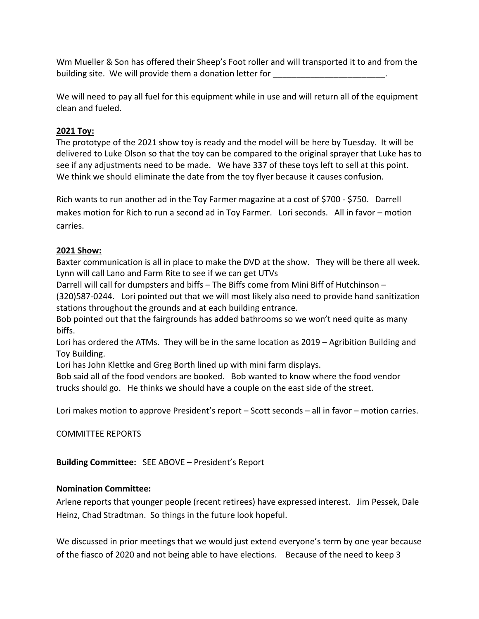Wm Mueller & Son has offered their Sheep's Foot roller and will transported it to and from the building site. We will provide them a donation letter for

We will need to pay all fuel for this equipment while in use and will return all of the equipment clean and fueled.

## **2021 Toy:**

The prototype of the 2021 show toy is ready and the model will be here by Tuesday. It will be delivered to Luke Olson so that the toy can be compared to the original sprayer that Luke has to see if any adjustments need to be made. We have 337 of these toys left to sell at this point. We think we should eliminate the date from the toy flyer because it causes confusion.

Rich wants to run another ad in the Toy Farmer magazine at a cost of \$700 - \$750. Darrell makes motion for Rich to run a second ad in Toy Farmer. Lori seconds. All in favor – motion carries.

## **2021 Show:**

Baxter communication is all in place to make the DVD at the show. They will be there all week. Lynn will call Lano and Farm Rite to see if we can get UTVs

Darrell will call for dumpsters and biffs – The Biffs come from Mini Biff of Hutchinson –

(320)587-0244. Lori pointed out that we will most likely also need to provide hand sanitization stations throughout the grounds and at each building entrance.

Bob pointed out that the fairgrounds has added bathrooms so we won't need quite as many biffs.

Lori has ordered the ATMs. They will be in the same location as 2019 – Agribition Building and Toy Building.

Lori has John Klettke and Greg Borth lined up with mini farm displays.

Bob said all of the food vendors are booked. Bob wanted to know where the food vendor trucks should go. He thinks we should have a couple on the east side of the street.

Lori makes motion to approve President's report – Scott seconds – all in favor – motion carries.

## COMMITTEE REPORTS

**Building Committee:** SEE ABOVE – President's Report

## **Nomination Committee:**

Arlene reports that younger people (recent retirees) have expressed interest. Jim Pessek, Dale Heinz, Chad Stradtman. So things in the future look hopeful.

We discussed in prior meetings that we would just extend everyone's term by one year because of the fiasco of 2020 and not being able to have elections. Because of the need to keep 3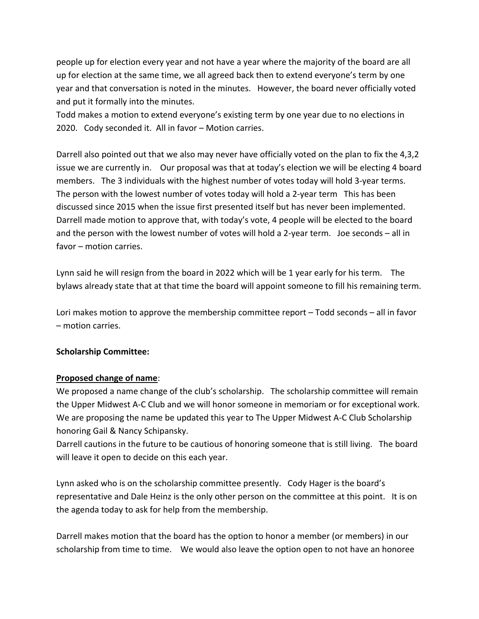people up for election every year and not have a year where the majority of the board are all up for election at the same time, we all agreed back then to extend everyone's term by one year and that conversation is noted in the minutes. However, the board never officially voted and put it formally into the minutes.

Todd makes a motion to extend everyone's existing term by one year due to no elections in 2020. Cody seconded it. All in favor – Motion carries.

Darrell also pointed out that we also may never have officially voted on the plan to fix the 4,3,2 issue we are currently in. Our proposal was that at today's election we will be electing 4 board members. The 3 individuals with the highest number of votes today will hold 3-year terms. The person with the lowest number of votes today will hold a 2-year term This has been discussed since 2015 when the issue first presented itself but has never been implemented. Darrell made motion to approve that, with today's vote, 4 people will be elected to the board and the person with the lowest number of votes will hold a 2-year term. Joe seconds – all in favor – motion carries.

Lynn said he will resign from the board in 2022 which will be 1 year early for his term. The bylaws already state that at that time the board will appoint someone to fill his remaining term.

Lori makes motion to approve the membership committee report – Todd seconds – all in favor – motion carries.

## **Scholarship Committee:**

## **Proposed change of name**:

We proposed a name change of the club's scholarship. The scholarship committee will remain the Upper Midwest A-C Club and we will honor someone in memoriam or for exceptional work. We are proposing the name be updated this year to The Upper Midwest A-C Club Scholarship honoring Gail & Nancy Schipansky.

Darrell cautions in the future to be cautious of honoring someone that is still living. The board will leave it open to decide on this each year.

Lynn asked who is on the scholarship committee presently. Cody Hager is the board's representative and Dale Heinz is the only other person on the committee at this point. It is on the agenda today to ask for help from the membership.

Darrell makes motion that the board has the option to honor a member (or members) in our scholarship from time to time. We would also leave the option open to not have an honoree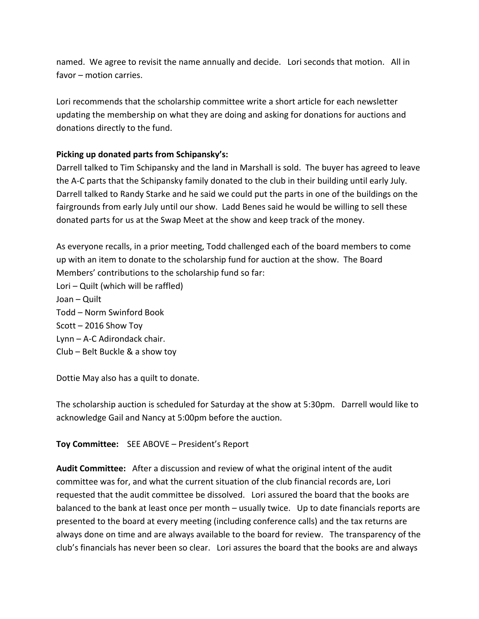named. We agree to revisit the name annually and decide. Lori seconds that motion. All in favor – motion carries.

Lori recommends that the scholarship committee write a short article for each newsletter updating the membership on what they are doing and asking for donations for auctions and donations directly to the fund.

## **Picking up donated parts from Schipansky's:**

Darrell talked to Tim Schipansky and the land in Marshall is sold. The buyer has agreed to leave the A-C parts that the Schipansky family donated to the club in their building until early July. Darrell talked to Randy Starke and he said we could put the parts in one of the buildings on the fairgrounds from early July until our show. Ladd Benes said he would be willing to sell these donated parts for us at the Swap Meet at the show and keep track of the money.

As everyone recalls, in a prior meeting, Todd challenged each of the board members to come up with an item to donate to the scholarship fund for auction at the show. The Board Members' contributions to the scholarship fund so far: Lori – Quilt (which will be raffled) Joan – Quilt Todd – Norm Swinford Book Scott – 2016 Show Toy Lynn – A-C Adirondack chair. Club – Belt Buckle & a show toy

Dottie May also has a quilt to donate.

The scholarship auction is scheduled for Saturday at the show at 5:30pm. Darrell would like to acknowledge Gail and Nancy at 5:00pm before the auction.

## **Toy Committee:** SEE ABOVE – President's Report

**Audit Committee:** After a discussion and review of what the original intent of the audit committee was for, and what the current situation of the club financial records are, Lori requested that the audit committee be dissolved. Lori assured the board that the books are balanced to the bank at least once per month – usually twice. Up to date financials reports are presented to the board at every meeting (including conference calls) and the tax returns are always done on time and are always available to the board for review. The transparency of the club's financials has never been so clear. Lori assures the board that the books are and always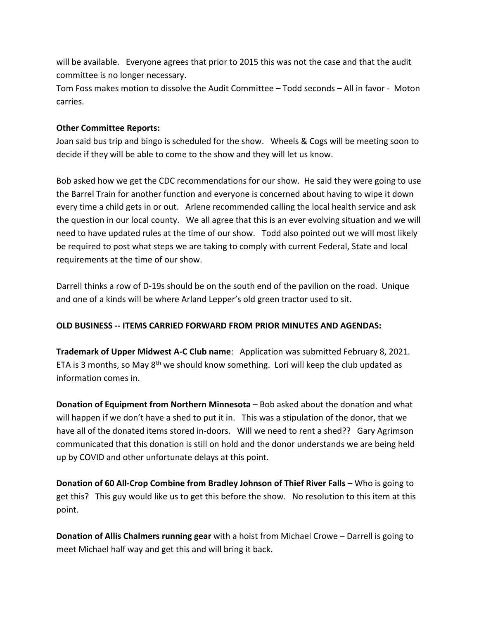will be available. Everyone agrees that prior to 2015 this was not the case and that the audit committee is no longer necessary.

Tom Foss makes motion to dissolve the Audit Committee – Todd seconds – All in favor - Moton carries.

## **Other Committee Reports:**

Joan said bus trip and bingo is scheduled for the show. Wheels & Cogs will be meeting soon to decide if they will be able to come to the show and they will let us know.

Bob asked how we get the CDC recommendations for our show. He said they were going to use the Barrel Train for another function and everyone is concerned about having to wipe it down every time a child gets in or out. Arlene recommended calling the local health service and ask the question in our local county. We all agree that this is an ever evolving situation and we will need to have updated rules at the time of our show. Todd also pointed out we will most likely be required to post what steps we are taking to comply with current Federal, State and local requirements at the time of our show.

Darrell thinks a row of D-19s should be on the south end of the pavilion on the road. Unique and one of a kinds will be where Arland Lepper's old green tractor used to sit.

## **OLD BUSINESS -- ITEMS CARRIED FORWARD FROM PRIOR MINUTES AND AGENDAS:**

**Trademark of Upper Midwest A-C Club name**: Application was submitted February 8, 2021. ETA is 3 months, so May  $8<sup>th</sup>$  we should know something. Lori will keep the club updated as information comes in.

**Donation of Equipment from Northern Minnesota** – Bob asked about the donation and what will happen if we don't have a shed to put it in. This was a stipulation of the donor, that we have all of the donated items stored in-doors. Will we need to rent a shed?? Gary Agrimson communicated that this donation is still on hold and the donor understands we are being held up by COVID and other unfortunate delays at this point.

**Donation of 60 All-Crop Combine from Bradley Johnson of Thief River Falls – Who is going to** get this? This guy would like us to get this before the show. No resolution to this item at this point.

**Donation of Allis Chalmers running gear** with a hoist from Michael Crowe – Darrell is going to meet Michael half way and get this and will bring it back.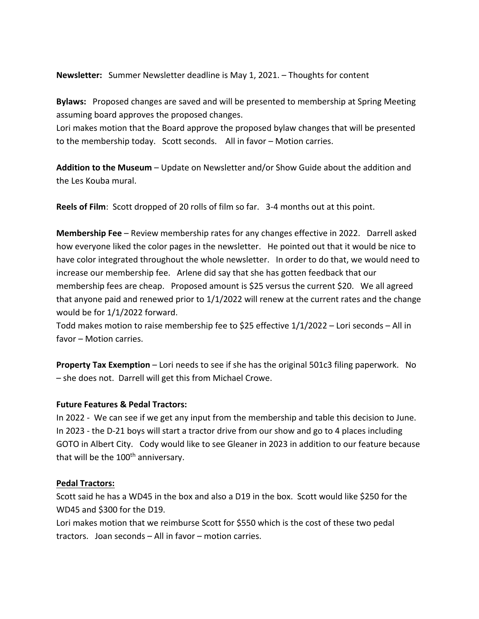**Newsletter:** Summer Newsletter deadline is May 1, 2021. – Thoughts for content

**Bylaws:** Proposed changes are saved and will be presented to membership at Spring Meeting assuming board approves the proposed changes.

Lori makes motion that the Board approve the proposed bylaw changes that will be presented to the membership today. Scott seconds. All in favor – Motion carries.

**Addition to the Museum** – Update on Newsletter and/or Show Guide about the addition and the Les Kouba mural.

**Reels of Film**: Scott dropped of 20 rolls of film so far. 3-4 months out at this point.

**Membership Fee** – Review membership rates for any changes effective in 2022. Darrell asked how everyone liked the color pages in the newsletter. He pointed out that it would be nice to have color integrated throughout the whole newsletter. In order to do that, we would need to increase our membership fee. Arlene did say that she has gotten feedback that our membership fees are cheap. Proposed amount is \$25 versus the current \$20. We all agreed that anyone paid and renewed prior to  $1/1/2022$  will renew at the current rates and the change would be for 1/1/2022 forward.

Todd makes motion to raise membership fee to \$25 effective 1/1/2022 – Lori seconds – All in favor – Motion carries.

**Property Tax Exemption** – Lori needs to see if she has the original 501c3 filing paperwork. No – she does not. Darrell will get this from Michael Crowe.

#### **Future Features & Pedal Tractors:**

In 2022 - We can see if we get any input from the membership and table this decision to June. In 2023 - the D-21 boys will start a tractor drive from our show and go to 4 places including GOTO in Albert City. Cody would like to see Gleaner in 2023 in addition to our feature because that will be the  $100<sup>th</sup>$  anniversary.

#### **Pedal Tractors:**

Scott said he has a WD45 in the box and also a D19 in the box. Scott would like \$250 for the WD45 and \$300 for the D19.

Lori makes motion that we reimburse Scott for \$550 which is the cost of these two pedal tractors. Joan seconds – All in favor – motion carries.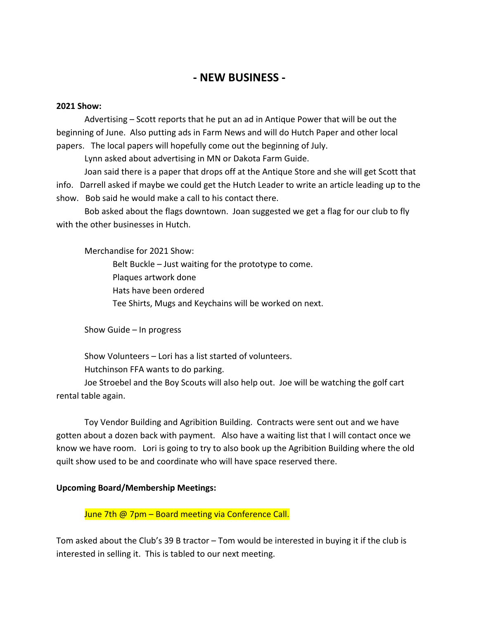## **- NEW BUSINESS -**

#### **2021 Show:**

Advertising – Scott reports that he put an ad in Antique Power that will be out the beginning of June. Also putting ads in Farm News and will do Hutch Paper and other local papers. The local papers will hopefully come out the beginning of July.

Lynn asked about advertising in MN or Dakota Farm Guide.

Joan said there is a paper that drops off at the Antique Store and she will get Scott that info. Darrell asked if maybe we could get the Hutch Leader to write an article leading up to the show. Bob said he would make a call to his contact there.

Bob asked about the flags downtown. Joan suggested we get a flag for our club to fly with the other businesses in Hutch.

Merchandise for 2021 Show:

Belt Buckle – Just waiting for the prototype to come. Plaques artwork done Hats have been ordered Tee Shirts, Mugs and Keychains will be worked on next.

Show Guide – In progress

Show Volunteers – Lori has a list started of volunteers. Hutchinson FFA wants to do parking.

Joe Stroebel and the Boy Scouts will also help out. Joe will be watching the golf cart rental table again.

Toy Vendor Building and Agribition Building. Contracts were sent out and we have gotten about a dozen back with payment. Also have a waiting list that I will contact once we know we have room. Lori is going to try to also book up the Agribition Building where the old quilt show used to be and coordinate who will have space reserved there.

#### **Upcoming Board/Membership Meetings:**

June 7th @ 7pm - Board meeting via Conference Call.

Tom asked about the Club's 39 B tractor – Tom would be interested in buying it if the club is interested in selling it. This is tabled to our next meeting.